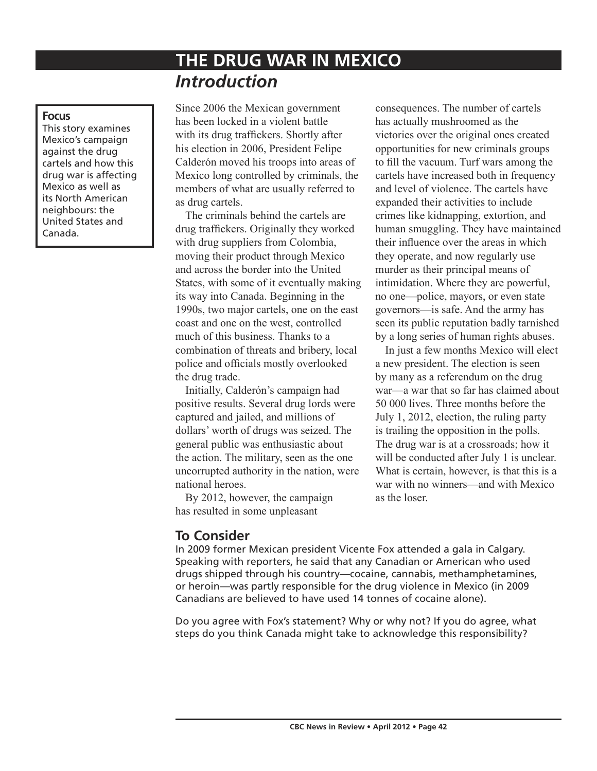# **THE DRUG WAR IN MEXICO**  *Introduction*

#### **Focus**

This story examines Mexico's campaign against the drug cartels and how this drug war is affecting Mexico as well as its North American neighbours: the United States and Canada.

Since 2006 the Mexican government has been locked in a violent battle with its drug traffickers. Shortly after his election in 2006, President Felipe Calderón moved his troops into areas of Mexico long controlled by criminals, the members of what are usually referred to as drug cartels.

The criminals behind the cartels are drug traffickers. Originally they worked with drug suppliers from Colombia, moving their product through Mexico and across the border into the United States, with some of it eventually making its way into Canada. Beginning in the 1990s, two major cartels, one on the east coast and one on the west, controlled much of this business. Thanks to a combination of threats and bribery, local police and officials mostly overlooked the drug trade.

Initially, Calderón's campaign had positive results. Several drug lords were captured and jailed, and millions of dollars' worth of drugs was seized. The general public was enthusiastic about the action. The military, seen as the one uncorrupted authority in the nation, were national heroes.

By 2012, however, the campaign has resulted in some unpleasant

consequences. The number of cartels has actually mushroomed as the victories over the original ones created opportunities for new criminals groups to fill the vacuum. Turf wars among the cartels have increased both in frequency and level of violence. The cartels have expanded their activities to include crimes like kidnapping, extortion, and human smuggling. They have maintained their influence over the areas in which they operate, and now regularly use murder as their principal means of intimidation. Where they are powerful, no one—police, mayors, or even state governors—is safe. And the army has seen its public reputation badly tarnished by a long series of human rights abuses.

In just a few months Mexico will elect a new president. The election is seen by many as a referendum on the drug war—a war that so far has claimed about 50 000 lives. Three months before the July 1, 2012, election, the ruling party is trailing the opposition in the polls. The drug war is at a crossroads; how it will be conducted after July 1 is unclear. What is certain, however, is that this is a war with no winners—and with Mexico as the loser.

# **To Consider**

In 2009 former Mexican president Vicente Fox attended a gala in Calgary. Speaking with reporters, he said that any Canadian or American who used drugs shipped through his country—cocaine, cannabis, methamphetamines, or heroin—was partly responsible for the drug violence in Mexico (in 2009 Canadians are believed to have used 14 tonnes of cocaine alone).

Do you agree with Fox's statement? Why or why not? If you do agree, what steps do you think Canada might take to acknowledge this responsibility?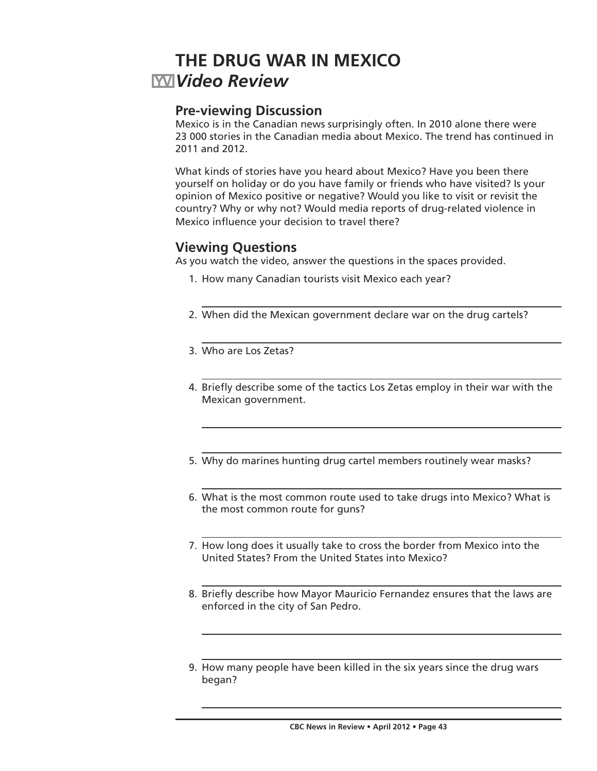# **THE DRUG WAR IN MEXICO** *Video Review*

## **Pre-viewing Discussion**

Mexico is in the Canadian news surprisingly often. In 2010 alone there were 23 000 stories in the Canadian media about Mexico. The trend has continued in 2011 and 2012.

What kinds of stories have you heard about Mexico? Have you been there yourself on holiday or do you have family or friends who have visited? Is your opinion of Mexico positive or negative? Would you like to visit or revisit the country? Why or why not? Would media reports of drug-related violence in Mexico influence your decision to travel there?

# **Viewing Questions**

As you watch the video, answer the questions in the spaces provided.

- 1. How many Canadian tourists visit Mexico each year?
- 2. When did the Mexican government declare war on the drug cartels?
- 3. Who are Los Zetas?
- 4. Briefly describe some of the tactics Los Zetas employ in their war with the Mexican government.
- 5. Why do marines hunting drug cartel members routinely wear masks?
- 6. What is the most common route used to take drugs into Mexico? What is the most common route for guns?
- 7. How long does it usually take to cross the border from Mexico into the United States? From the United States into Mexico?
- 8. Briefly describe how Mayor Mauricio Fernandez ensures that the laws are enforced in the city of San Pedro.
- 9. How many people have been killed in the six years since the drug wars began?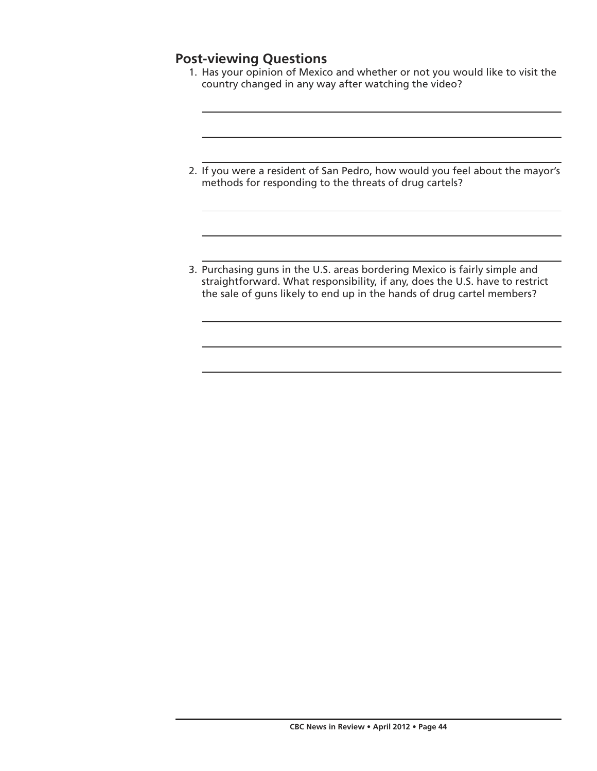# **Post-viewing Questions**

- 1. Has your opinion of Mexico and whether or not you would like to visit the country changed in any way after watching the video?
- 2. If you were a resident of San Pedro, how would you feel about the mayor's methods for responding to the threats of drug cartels?
- 3. Purchasing guns in the U.S. areas bordering Mexico is fairly simple and straightforward. What responsibility, if any, does the U.S. have to restrict the sale of guns likely to end up in the hands of drug cartel members?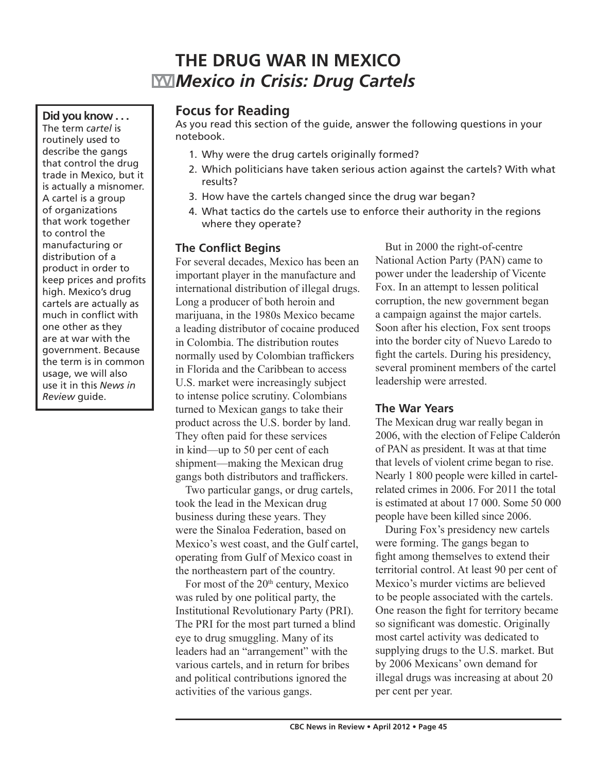# **THE DRUG WAR IN MEXICO** *Mexico in Crisis: Drug Cartels*

### **Did you know . . .**

The term *cartel* is routinely used to describe the gangs that control the drug trade in Mexico, but it is actually a misnomer. A cartel is a group of organizations that work together to control the manufacturing or distribution of a product in order to keep prices and profits high. Mexico's drug cartels are actually as much in conflict with one other as they are at war with the government. Because the term is in common usage, we will also use it in this *News in Review* guide.

## **Focus for Reading**

As you read this section of the guide, answer the following questions in your notebook.

- 1. Why were the drug cartels originally formed?
- 2. Which politicians have taken serious action against the cartels? With what results?
- 3. How have the cartels changed since the drug war began?
- 4. What tactics do the cartels use to enforce their authority in the regions where they operate?

## **The Conflict Begins**

For several decades, Mexico has been an important player in the manufacture and international distribution of illegal drugs. Long a producer of both heroin and marijuana, in the 1980s Mexico became a leading distributor of cocaine produced in Colombia. The distribution routes normally used by Colombian traffickers in Florida and the Caribbean to access U.S. market were increasingly subject to intense police scrutiny. Colombians turned to Mexican gangs to take their product across the U.S. border by land. They often paid for these services in kind—up to 50 per cent of each shipment—making the Mexican drug gangs both distributors and traffickers.

Two particular gangs, or drug cartels, took the lead in the Mexican drug business during these years. They were the Sinaloa Federation, based on Mexico's west coast, and the Gulf cartel, operating from Gulf of Mexico coast in the northeastern part of the country.

For most of the  $20<sup>th</sup>$  century, Mexico was ruled by one political party, the Institutional Revolutionary Party (PRI). The PRI for the most part turned a blind eye to drug smuggling. Many of its leaders had an "arrangement" with the various cartels, and in return for bribes and political contributions ignored the activities of the various gangs.

But in 2000 the right-of-centre National Action Party (PAN) came to power under the leadership of Vicente Fox. In an attempt to lessen political corruption, the new government began a campaign against the major cartels. Soon after his election, Fox sent troops into the border city of Nuevo Laredo to fight the cartels. During his presidency, several prominent members of the cartel leadership were arrested.

## **The War Years**

The Mexican drug war really began in 2006, with the election of Felipe Calderón of PAN as president. It was at that time that levels of violent crime began to rise. Nearly 1 800 people were killed in cartelrelated crimes in 2006. For 2011 the total is estimated at about 17 000. Some 50 000 people have been killed since 2006.

During Fox's presidency new cartels were forming. The gangs began to fight among themselves to extend their territorial control. At least 90 per cent of Mexico's murder victims are believed to be people associated with the cartels. One reason the fight for territory became so significant was domestic. Originally most cartel activity was dedicated to supplying drugs to the U.S. market. But by 2006 Mexicans' own demand for illegal drugs was increasing at about 20 per cent per year.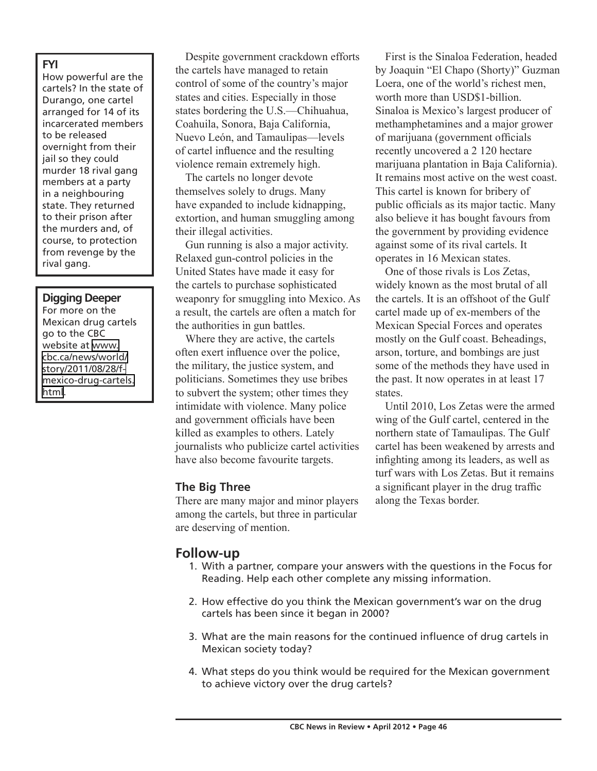#### **FYI**

How powerful are the cartels? In the state of Durango, one cartel arranged for 14 of its incarcerated members to be released overnight from their jail so they could murder 18 rival gang members at a party in a neighbouring state. They returned to their prison after the murders and, of course, to protection from revenge by the rival gang.

#### **Digging Deeper**

For more on the Mexican drug cartels go to the CBC website at [www.](http://www.cbc.ca/news/world/story/2011/08/28/f-mexico-drug-cartels.html) [cbc.ca/news/world/](http://www.cbc.ca/news/world/story/2011/08/28/f-mexico-drug-cartels.html) [story/2011/08/28/f](http://www.cbc.ca/news/world/story/2011/08/28/f-mexico-drug-cartels.html)[mexico-drug-cartels.](http://www.cbc.ca/news/world/story/2011/08/28/f-mexico-drug-cartels.html) [html](http://www.cbc.ca/news/world/story/2011/08/28/f-mexico-drug-cartels.html).

Despite government crackdown efforts the cartels have managed to retain control of some of the country's major states and cities. Especially in those states bordering the U.S.—Chihuahua, Coahuila, Sonora, Baja California, Nuevo León, and Tamaulipas—levels of cartel influence and the resulting violence remain extremely high.

The cartels no longer devote themselves solely to drugs. Many have expanded to include kidnapping, extortion, and human smuggling among their illegal activities.

Gun running is also a major activity. Relaxed gun-control policies in the United States have made it easy for the cartels to purchase sophisticated weaponry for smuggling into Mexico. As a result, the cartels are often a match for the authorities in gun battles.

Where they are active, the cartels often exert influence over the police, the military, the justice system, and politicians. Sometimes they use bribes to subvert the system; other times they intimidate with violence. Many police and government officials have been killed as examples to others. Lately journalists who publicize cartel activities have also become favourite targets.

#### **The Big Three**

There are many major and minor players among the cartels, but three in particular are deserving of mention.

First is the Sinaloa Federation, headed by Joaquin "El Chapo (Shorty)" Guzman Loera, one of the world's richest men, worth more than USD\$1-billion. Sinaloa is Mexico's largest producer of methamphetamines and a major grower of marijuana (government officials recently uncovered a 2 120 hectare marijuana plantation in Baja California). It remains most active on the west coast. This cartel is known for bribery of public officials as its major tactic. Many also believe it has bought favours from the government by providing evidence against some of its rival cartels. It operates in 16 Mexican states.

One of those rivals is Los Zetas, widely known as the most brutal of all the cartels. It is an offshoot of the Gulf cartel made up of ex-members of the Mexican Special Forces and operates mostly on the Gulf coast. Beheadings, arson, torture, and bombings are just some of the methods they have used in the past. It now operates in at least 17 states.

Until 2010, Los Zetas were the armed wing of the Gulf cartel, centered in the northern state of Tamaulipas. The Gulf cartel has been weakened by arrests and infighting among its leaders, as well as turf wars with Los Zetas. But it remains a significant player in the drug traffic along the Texas border.

# **Follow-up**

- 1. With a partner, compare your answers with the questions in the Focus for Reading. Help each other complete any missing information.
- 2. How effective do you think the Mexican government's war on the drug cartels has been since it began in 2000?
- 3. What are the main reasons for the continued influence of drug cartels in Mexican society today?
- 4. What steps do you think would be required for the Mexican government to achieve victory over the drug cartels?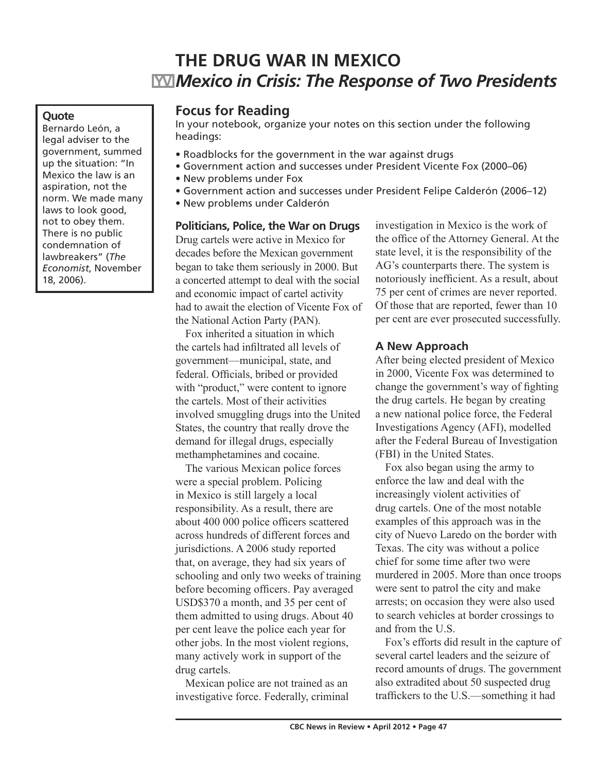# **THE DRUG WAR IN MEXICO** *Mexico in Crisis: The Response of Two Presidents*

#### **Quote**

Bernardo León, a legal adviser to the government, summed up the situation: "In Mexico the law is an aspiration, not the norm. We made many laws to look good, not to obey them. There is no public condemnation of lawbreakers" (*The Economist*, November 18, 2006).

## **Focus for Reading**

In your notebook, organize your notes on this section under the following headings:

- Roadblocks for the government in the war against drugs
- Government action and successes under President Vicente Fox (2000–06)
- New problems under Fox
- Government action and successes under President Felipe Calderón (2006–12)
- New problems under Calderón

**Politicians, Police, the War on Drugs** Drug cartels were active in Mexico for decades before the Mexican government began to take them seriously in 2000. But a concerted attempt to deal with the social and economic impact of cartel activity had to await the election of Vicente Fox of the National Action Party (PAN).

Fox inherited a situation in which the cartels had infiltrated all levels of government—municipal, state, and federal. Officials, bribed or provided with "product," were content to ignore the cartels. Most of their activities involved smuggling drugs into the United States, the country that really drove the demand for illegal drugs, especially methamphetamines and cocaine.

The various Mexican police forces were a special problem. Policing in Mexico is still largely a local responsibility. As a result, there are about 400 000 police officers scattered across hundreds of different forces and jurisdictions. A 2006 study reported that, on average, they had six years of schooling and only two weeks of training before becoming officers. Pay averaged USD\$370 a month, and 35 per cent of them admitted to using drugs. About 40 per cent leave the police each year for other jobs. In the most violent regions, many actively work in support of the drug cartels.

Mexican police are not trained as an investigative force. Federally, criminal investigation in Mexico is the work of the office of the Attorney General. At the state level, it is the responsibility of the AG's counterparts there. The system is notoriously inefficient. As a result, about 75 per cent of crimes are never reported. Of those that are reported, fewer than 10 per cent are ever prosecuted successfully.

#### **A New Approach**

After being elected president of Mexico in 2000, Vicente Fox was determined to change the government's way of fighting the drug cartels. He began by creating a new national police force, the Federal Investigations Agency (AFI), modelled after the Federal Bureau of Investigation (FBI) in the United States.

Fox also began using the army to enforce the law and deal with the increasingly violent activities of drug cartels. One of the most notable examples of this approach was in the city of Nuevo Laredo on the border with Texas. The city was without a police chief for some time after two were murdered in 2005. More than once troops were sent to patrol the city and make arrests; on occasion they were also used to search vehicles at border crossings to and from the U.S.

Fox's efforts did result in the capture of several cartel leaders and the seizure of record amounts of drugs. The government also extradited about 50 suspected drug traffickers to the U.S.—something it had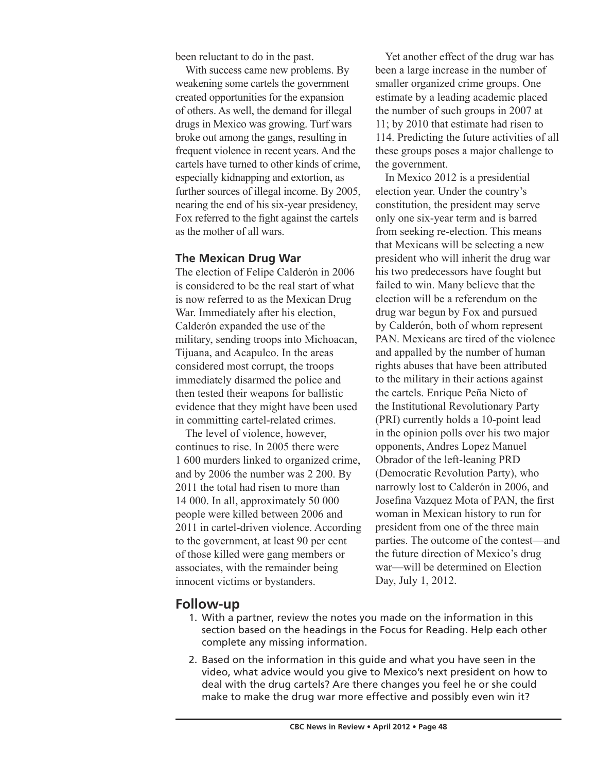been reluctant to do in the past.

With success came new problems. By weakening some cartels the government created opportunities for the expansion of others. As well, the demand for illegal drugs in Mexico was growing. Turf wars broke out among the gangs, resulting in frequent violence in recent years. And the cartels have turned to other kinds of crime, especially kidnapping and extortion, as further sources of illegal income. By 2005, nearing the end of his six-year presidency, Fox referred to the fight against the cartels as the mother of all wars.

#### **The Mexican Drug War**

The election of Felipe Calderón in 2006 is considered to be the real start of what is now referred to as the Mexican Drug War. Immediately after his election, Calderón expanded the use of the military, sending troops into Michoacan, Tijuana, and Acapulco. In the areas considered most corrupt, the troops immediately disarmed the police and then tested their weapons for ballistic evidence that they might have been used in committing cartel-related crimes.

The level of violence, however, continues to rise. In 2005 there were 1 600 murders linked to organized crime, and by 2006 the number was 2 200. By 2011 the total had risen to more than 14 000. In all, approximately 50 000 people were killed between 2006 and 2011 in cartel-driven violence. According to the government, at least 90 per cent of those killed were gang members or associates, with the remainder being innocent victims or bystanders.

Yet another effect of the drug war has been a large increase in the number of smaller organized crime groups. One estimate by a leading academic placed the number of such groups in 2007 at 11; by 2010 that estimate had risen to 114. Predicting the future activities of all these groups poses a major challenge to the government.

In Mexico 2012 is a presidential election year. Under the country's constitution, the president may serve only one six-year term and is barred from seeking re-election. This means that Mexicans will be selecting a new president who will inherit the drug war his two predecessors have fought but failed to win. Many believe that the election will be a referendum on the drug war begun by Fox and pursued by Calderón, both of whom represent PAN. Mexicans are tired of the violence and appalled by the number of human rights abuses that have been attributed to the military in their actions against the cartels. Enrique Peña Nieto of the Institutional Revolutionary Party (PRI) currently holds a 10-point lead in the opinion polls over his two major opponents, Andres Lopez Manuel Obrador of the left-leaning PRD (Democratic Revolution Party), who narrowly lost to Calderón in 2006, and Josefina Vazquez Mota of PAN, the first woman in Mexican history to run for president from one of the three main parties. The outcome of the contest—and the future direction of Mexico's drug war—will be determined on Election Day, July 1, 2012.

### **Follow-up**

- 1. With a partner, review the notes you made on the information in this section based on the headings in the Focus for Reading. Help each other complete any missing information.
- 2. Based on the information in this guide and what you have seen in the video, what advice would you give to Mexico's next president on how to deal with the drug cartels? Are there changes you feel he or she could make to make the drug war more effective and possibly even win it?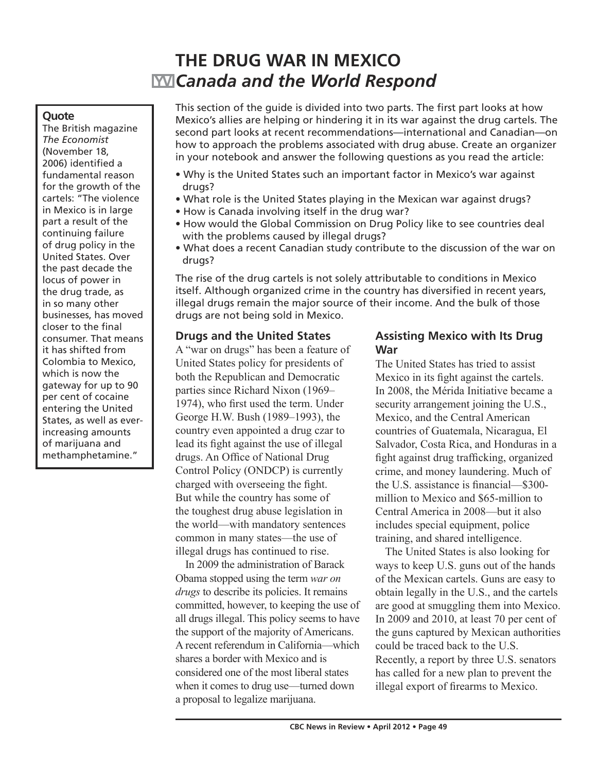# **THE DRUG WAR IN MEXICO** *Canada and the World Respond*

#### **Quote**

The British magazine *The Economist*  (November 18, 2006) identified a fundamental reason for the growth of the cartels: "The violence in Mexico is in large part a result of the continuing failure of drug policy in the United States. Over the past decade the locus of power in the drug trade, as in so many other businesses, has moved closer to the final consumer. That means it has shifted from Colombia to Mexico, which is now the gateway for up to 90 per cent of cocaine entering the United States, as well as everincreasing amounts of marijuana and methamphetamine."

This section of the guide is divided into two parts. The first part looks at how Mexico's allies are helping or hindering it in its war against the drug cartels. The second part looks at recent recommendations—international and Canadian—on how to approach the problems associated with drug abuse. Create an organizer in your notebook and answer the following questions as you read the article:

- Why is the United States such an important factor in Mexico's war against drugs?
- What role is the United States playing in the Mexican war against drugs?
- How is Canada involving itself in the drug war?
- How would the Global Commission on Drug Policy like to see countries deal with the problems caused by illegal drugs?
- What does a recent Canadian study contribute to the discussion of the war on drugs?

The rise of the drug cartels is not solely attributable to conditions in Mexico itself. Although organized crime in the country has diversified in recent years, illegal drugs remain the major source of their income. And the bulk of those drugs are not being sold in Mexico.

### **Drugs and the United States**

A "war on drugs" has been a feature of United States policy for presidents of both the Republican and Democratic parties since Richard Nixon (1969– 1974), who first used the term. Under George H.W. Bush (1989–1993), the country even appointed a drug czar to lead its fight against the use of illegal drugs. An Office of National Drug Control Policy (ONDCP) is currently charged with overseeing the fight. But while the country has some of the toughest drug abuse legislation in the world—with mandatory sentences common in many states—the use of illegal drugs has continued to rise.

In 2009 the administration of Barack Obama stopped using the term *war on drugs* to describe its policies. It remains committed, however, to keeping the use of all drugs illegal. This policy seems to have the support of the majority of Americans. A recent referendum in California—which shares a border with Mexico and is considered one of the most liberal states when it comes to drug use—turned down a proposal to legalize marijuana.

## **Assisting Mexico with Its Drug War**

The United States has tried to assist Mexico in its fight against the cartels. In 2008, the Mérida Initiative became a security arrangement joining the U.S., Mexico, and the Central American countries of Guatemala, Nicaragua, El Salvador, Costa Rica, and Honduras in a fight against drug trafficking, organized crime, and money laundering. Much of the U.S. assistance is financial—\$300 million to Mexico and \$65-million to Central America in 2008—but it also includes special equipment, police training, and shared intelligence.

The United States is also looking for ways to keep U.S. guns out of the hands of the Mexican cartels. Guns are easy to obtain legally in the U.S., and the cartels are good at smuggling them into Mexico. In 2009 and 2010, at least 70 per cent of the guns captured by Mexican authorities could be traced back to the U.S. Recently, a report by three U.S. senators has called for a new plan to prevent the illegal export of firearms to Mexico.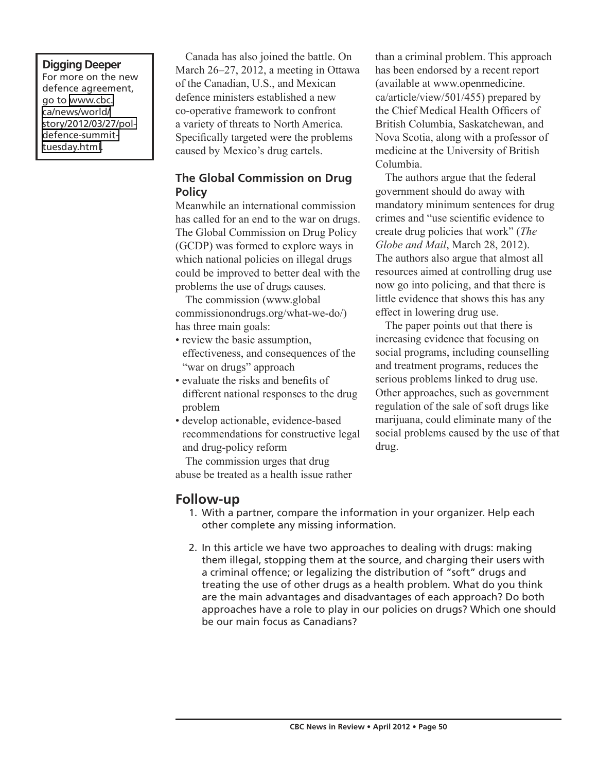## **Digging Deeper**

For more on the new defence agreement, go to [www.cbc.](http://www.cbc.ca/news/world/story/2012/03/27/pol-defence-summit-tuesday.html) [ca/news/world/](http://www.cbc.ca/news/world/story/2012/03/27/pol-defence-summit-tuesday.html) [story/2012/03/27/pol](http://www.cbc.ca/news/world/story/2012/03/27/pol-defence-summit-tuesday.html)[defence-summit](http://www.cbc.ca/news/world/story/2012/03/27/pol-defence-summit-tuesday.html)[tuesday.html](http://www.cbc.ca/news/world/story/2012/03/27/pol-defence-summit-tuesday.html).

Canada has also joined the battle. On March 26–27, 2012, a meeting in Ottawa of the Canadian, U.S., and Mexican defence ministers established a new co-operative framework to confront a variety of threats to North America. Specifically targeted were the problems caused by Mexico's drug cartels.

## **The Global Commission on Drug Policy**

Meanwhile an international commission has called for an end to the war on drugs. The Global Commission on Drug Policy (GCDP) was formed to explore ways in which national policies on illegal drugs could be improved to better deal with the problems the use of drugs causes.

The commission (www.global commissionondrugs.org/what-we-do/) has three main goals:

- review the basic assumption, effectiveness, and consequences of the "war on drugs" approach
- evaluate the risks and benefits of different national responses to the drug problem
- develop actionable, evidence-based recommendations for constructive legal and drug-policy reform

The commission urges that drug abuse be treated as a health issue rather

**Follow-up**

- 1. With a partner, compare the information in your organizer. Help each other complete any missing information.
- 2. In this article we have two approaches to dealing with drugs: making them illegal, stopping them at the source, and charging their users with a criminal offence; or legalizing the distribution of "soft" drugs and treating the use of other drugs as a health problem. What do you think are the main advantages and disadvantages of each approach? Do both approaches have a role to play in our policies on drugs? Which one should be our main focus as Canadians?

than a criminal problem. This approach has been endorsed by a recent report (available at www.openmedicine. ca/article/view/501/455) prepared by the Chief Medical Health Officers of British Columbia, Saskatchewan, and Nova Scotia, along with a professor of medicine at the University of British Columbia.

The authors argue that the federal government should do away with mandatory minimum sentences for drug crimes and "use scientific evidence to create drug policies that work" (*The Globe and Mail*, March 28, 2012). The authors also argue that almost all resources aimed at controlling drug use now go into policing, and that there is little evidence that shows this has any effect in lowering drug use.

The paper points out that there is increasing evidence that focusing on social programs, including counselling and treatment programs, reduces the serious problems linked to drug use. Other approaches, such as government regulation of the sale of soft drugs like marijuana, could eliminate many of the social problems caused by the use of that drug.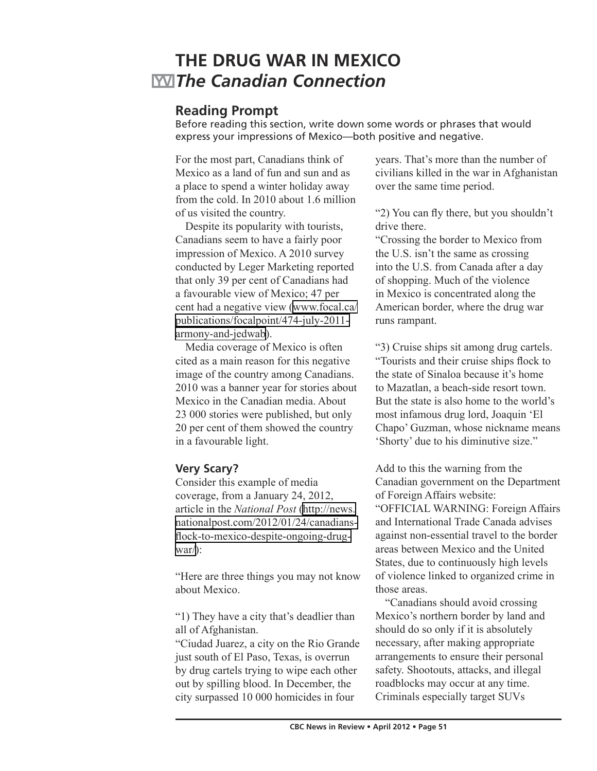# **THE DRUG WAR IN MEXICO** *The Canadian Connection*

# **Reading Prompt**

Before reading this section, write down some words or phrases that would express your impressions of Mexico—both positive and negative.

For the most part, Canadians think of Mexico as a land of fun and sun and as a place to spend a winter holiday away from the cold. In 2010 about 1.6 million of us visited the country.

Despite its popularity with tourists, Canadians seem to have a fairly poor impression of Mexico. A 2010 survey conducted by Leger Marketing reported that only 39 per cent of Canadians had a favourable view of Mexico; 47 per cent had a negative view [\(www.focal.ca/](http://www.focal.ca/publications/focalpoint/474-july-2011-armony-and-jedwab) [publications/focalpoint/474-july-2011](http://www.focal.ca/publications/focalpoint/474-july-2011-armony-and-jedwab) [armony-and-jedwab\)](http://www.focal.ca/publications/focalpoint/474-july-2011-armony-and-jedwab).

Media coverage of Mexico is often cited as a main reason for this negative image of the country among Canadians. 2010 was a banner year for stories about Mexico in the Canadian media. About 23 000 stories were published, but only 20 per cent of them showed the country in a favourable light.

# **Very Scary?**

Consider this example of media coverage, from a January 24, 2012, article in the *National Post* ([http://news.](http://news.nationalpost.com/2012/01/24/canadians-flock-to-mexico-despite-ongoing-drug-war/) [nationalpost.com/2012/01/24/canadians](http://news.nationalpost.com/2012/01/24/canadians-flock-to-mexico-despite-ongoing-drug-war/)[flock-to-mexico-despite-ongoing-drug](http://news.nationalpost.com/2012/01/24/canadians-flock-to-mexico-despite-ongoing-drug-war/)[war/](http://news.nationalpost.com/2012/01/24/canadians-flock-to-mexico-despite-ongoing-drug-war/)):

"Here are three things you may not know about Mexico.

"1) They have a city that's deadlier than all of Afghanistan.

"Ciudad Juarez, a city on the Rio Grande just south of El Paso, Texas, is overrun by drug cartels trying to wipe each other out by spilling blood. In December, the city surpassed 10 000 homicides in four

years. That's more than the number of civilians killed in the war in Afghanistan over the same time period.

"2) You can fly there, but you shouldn't drive there.

"Crossing the border to Mexico from the U.S. isn't the same as crossing into the U.S. from Canada after a day of shopping. Much of the violence in Mexico is concentrated along the American border, where the drug war runs rampant.

"3) Cruise ships sit among drug cartels. "Tourists and their cruise ships flock to the state of Sinaloa because it's home to Mazatlan, a beach-side resort town. But the state is also home to the world's most infamous drug lord, Joaquin 'El Chapo' Guzman, whose nickname means 'Shorty' due to his diminutive size."

Add to this the warning from the Canadian government on the Department of Foreign Affairs website: "OFFICIAL WARNING: Foreign Affairs and International Trade Canada advises against non-essential travel to the border areas between Mexico and the United States, due to continuously high levels of violence linked to organized crime in those areas.

"Canadians should avoid crossing Mexico's northern border by land and should do so only if it is absolutely necessary, after making appropriate arrangements to ensure their personal safety. Shootouts, attacks, and illegal roadblocks may occur at any time. Criminals especially target SUVs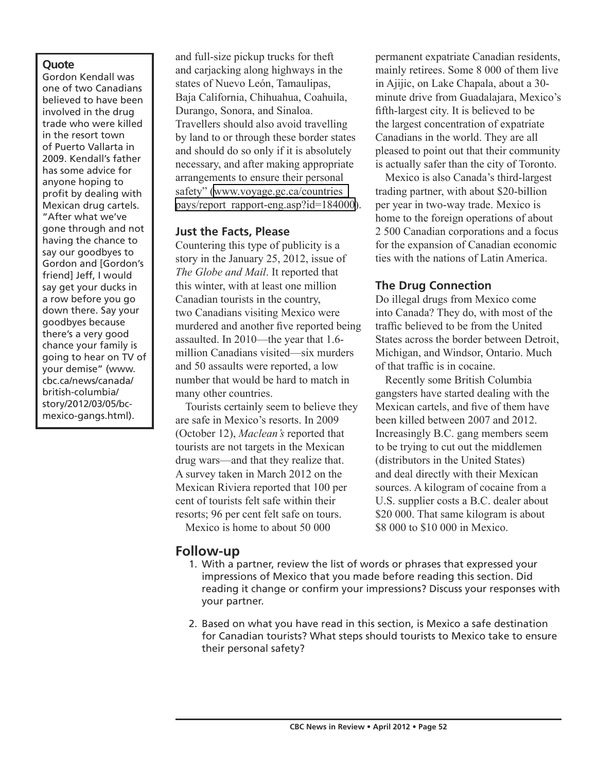#### **Quote**

Gordon Kendall was one of two Canadians believed to have been involved in the drug trade who were killed in the resort town of Puerto Vallarta in 2009. Kendall's father has some advice for anyone hoping to profit by dealing with Mexican drug cartels. "After what we've gone through and not having the chance to say our goodbyes to Gordon and [Gordon's friend] Jeff, I would say get your ducks in a row before you go down there. Say your goodbyes because there's a very good chance your family is going to hear on TV of your demise" (www. cbc.ca/news/canada/ british-columbia/ story/2012/03/05/bcmexico-gangs.html).

and full-size pickup trucks for theft and carjacking along highways in the states of Nuevo León, Tamaulipas, Baja California, Chihuahua, Coahuila, Durango, Sonora, and Sinaloa. Travellers should also avoid travelling by land to or through these border states and should do so only if it is absolutely necessary, and after making appropriate arrangements to ensure their personal safety" [\(www.voyage.gc.ca/countries\\_](http://www.voyage.gc.ca/countries_pays/report_rapport-eng.asp?id=184000) pays/report rapport-eng.asp?id=184000).

### **Just the Facts, Please**

Countering this type of publicity is a story in the January 25, 2012, issue of *The Globe and Mail*. It reported that this winter, with at least one million Canadian tourists in the country, two Canadians visiting Mexico were murdered and another five reported being assaulted. In 2010—the year that 1.6 million Canadians visited—six murders and 50 assaults were reported, a low number that would be hard to match in many other countries.

Tourists certainly seem to believe they are safe in Mexico's resorts. In 2009 (October 12), *Maclean's* reported that tourists are not targets in the Mexican drug wars—and that they realize that. A survey taken in March 2012 on the Mexican Riviera reported that 100 per cent of tourists felt safe within their resorts; 96 per cent felt safe on tours. Mexico is home to about 50 000

### **Follow-up**

- 1. With a partner, review the list of words or phrases that expressed your impressions of Mexico that you made before reading this section. Did reading it change or confirm your impressions? Discuss your responses with your partner.
- 2. Based on what you have read in this section, is Mexico a safe destination for Canadian tourists? What steps should tourists to Mexico take to ensure their personal safety?

permanent expatriate Canadian residents, mainly retirees. Some 8 000 of them live in Ajijic, on Lake Chapala, about a 30 minute drive from Guadalajara, Mexico's fifth-largest city. It is believed to be the largest concentration of expatriate Canadians in the world. They are all pleased to point out that their community is actually safer than the city of Toronto.

Mexico is also Canada's third-largest trading partner, with about \$20-billion per year in two-way trade. Mexico is home to the foreign operations of about 2 500 Canadian corporations and a focus for the expansion of Canadian economic ties with the nations of Latin America.

## **The Drug Connection**

Do illegal drugs from Mexico come into Canada? They do, with most of the traffic believed to be from the United States across the border between Detroit, Michigan, and Windsor, Ontario. Much of that traffic is in cocaine.

Recently some British Columbia gangsters have started dealing with the Mexican cartels, and five of them have been killed between 2007 and 2012. Increasingly B.C. gang members seem to be trying to cut out the middlemen (distributors in the United States) and deal directly with their Mexican sources. A kilogram of cocaine from a U.S. supplier costs a B.C. dealer about \$20 000. That same kilogram is about \$8 000 to \$10 000 in Mexico.